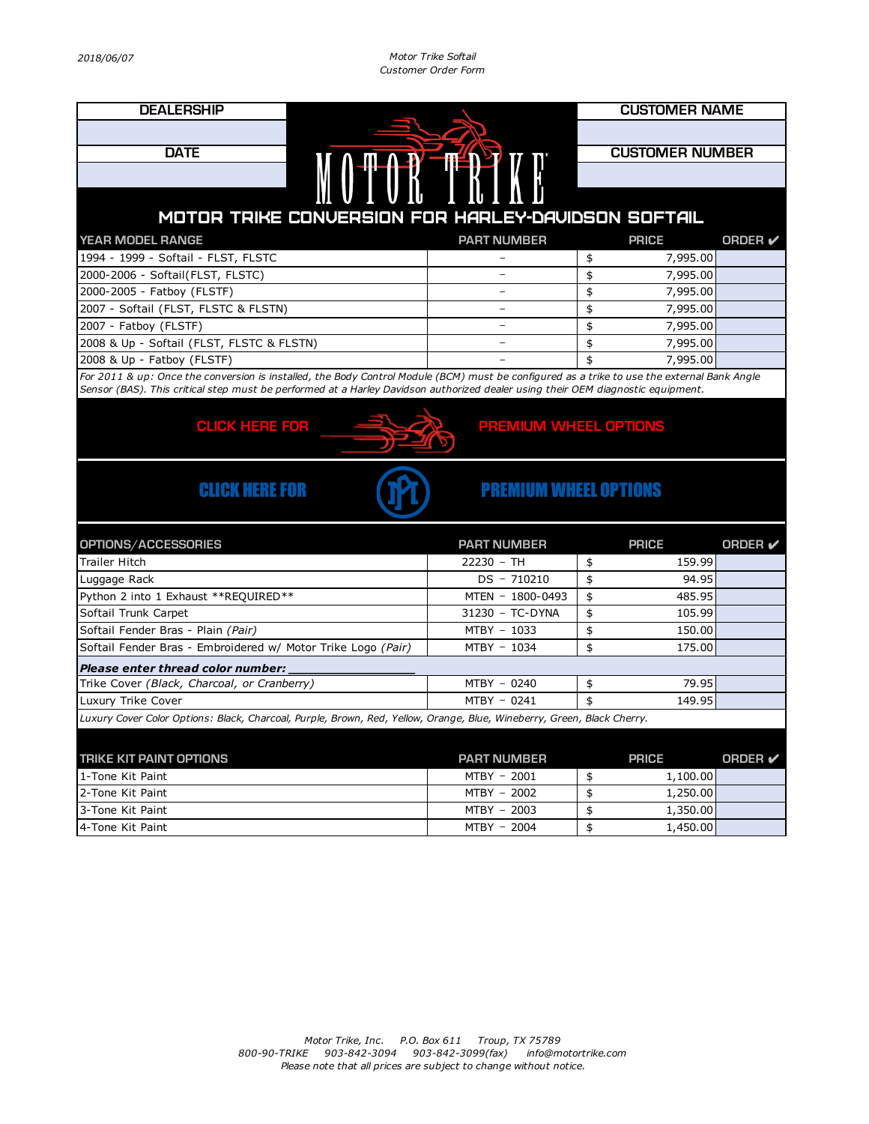*2018/06/07 Motor Trike Softail Customer Order Form*

| <b>DEALERSHIP</b>                                                                                                                                                                                                                                                              |                              | <b>CUSTOMER NAME</b> |                        |                |  |  |
|--------------------------------------------------------------------------------------------------------------------------------------------------------------------------------------------------------------------------------------------------------------------------------|------------------------------|----------------------|------------------------|----------------|--|--|
|                                                                                                                                                                                                                                                                                |                              |                      |                        |                |  |  |
| <b>DATE</b>                                                                                                                                                                                                                                                                    |                              |                      | <b>CUSTOMER NUMBER</b> |                |  |  |
|                                                                                                                                                                                                                                                                                |                              |                      |                        |                |  |  |
|                                                                                                                                                                                                                                                                                |                              |                      |                        |                |  |  |
|                                                                                                                                                                                                                                                                                |                              |                      |                        |                |  |  |
| MOTOR TRIKE CONVERSION FOR HARLEY-DAVIDSON SOFTAIL                                                                                                                                                                                                                             |                              |                      |                        |                |  |  |
| YEAR MODEL RANGE                                                                                                                                                                                                                                                               | <b>PART NUMBER</b>           |                      | <b>PRICE</b>           | <b>ORDER</b>   |  |  |
| 1994 - 1999 - Softail - FLST, FLSTC                                                                                                                                                                                                                                            |                              | \$                   | 7,995.00               |                |  |  |
| 2000-2006 - Softail(FLST, FLSTC)                                                                                                                                                                                                                                               |                              | \$                   | 7,995.00               |                |  |  |
| 2000-2005 - Fatboy (FLSTF)                                                                                                                                                                                                                                                     | $\overline{\phantom{m}}$     | \$                   | 7,995.00               |                |  |  |
| 2007 - Softail (FLST, FLSTC & FLSTN)                                                                                                                                                                                                                                           |                              | \$                   | 7,995.00               |                |  |  |
| 2007 - Fatboy (FLSTF)                                                                                                                                                                                                                                                          |                              | \$                   | 7,995.00               |                |  |  |
| 2008 & Up - Softail (FLST, FLSTC & FLSTN)                                                                                                                                                                                                                                      |                              | \$                   | 7,995.00               |                |  |  |
| 2008 & Up - Fatboy (FLSTF)                                                                                                                                                                                                                                                     |                              | \$                   | 7,995.00               |                |  |  |
| For 2011 & up: Once the conversion is installed, the Body Control Module (BCM) must be configured as a trike to use the external Bank Angle<br>Sensor (BAS). This critical step must be performed at a Harley Davidson authorized dealer using their OEM diagnostic equipment. |                              |                      |                        |                |  |  |
|                                                                                                                                                                                                                                                                                |                              |                      |                        |                |  |  |
| <b>CLICK HERE FOR</b><br><b>PREMIUM WHEEL OPTIONS</b>                                                                                                                                                                                                                          |                              |                      |                        |                |  |  |
|                                                                                                                                                                                                                                                                                |                              |                      |                        |                |  |  |
| <b>CLICK HERE FOR</b>                                                                                                                                                                                                                                                          | <b>PREMIUM WHEEL OPTIONS</b> |                      |                        |                |  |  |
|                                                                                                                                                                                                                                                                                | <b>PART NUMBER</b>           |                      | <b>PRICE</b>           | <b>ORDER</b> ✔ |  |  |
| OPTIONS/ACCESSORIES<br><b>Trailer Hitch</b>                                                                                                                                                                                                                                    | $22230 - TH$                 | \$                   | 159.99                 |                |  |  |
| Luggage Rack                                                                                                                                                                                                                                                                   | DS - 710210                  | \$                   | 94.95                  |                |  |  |
| Python 2 into 1 Exhaust ** REQUIRED**                                                                                                                                                                                                                                          | MTEN - 1800-0493             | \$                   | 485.95                 |                |  |  |
| Softail Trunk Carpet                                                                                                                                                                                                                                                           | 31230 - TC-DYNA              | \$                   | 105.99                 |                |  |  |
| Softail Fender Bras - Plain (Pair)                                                                                                                                                                                                                                             | MTBY - 1033                  | \$                   | 150.00                 |                |  |  |
| Softail Fender Bras - Embroidered w/ Motor Trike Logo (Pair)                                                                                                                                                                                                                   | MTBY - 1034                  | \$                   | 175.00                 |                |  |  |
| Please enter thread color number:                                                                                                                                                                                                                                              |                              |                      |                        |                |  |  |
| Trike Cover (Black, Charcoal, or Cranberry)                                                                                                                                                                                                                                    | MTBY - 0240                  | \$                   | 79.95                  |                |  |  |
| Luxury Trike Cover                                                                                                                                                                                                                                                             | MTBY - 0241                  | \$                   | 149.95                 |                |  |  |
| Luxury Cover Color Options: Black, Charcoal, Purple, Brown, Red, Yellow, Orange, Blue, Wineberry, Green, Black Cherry.                                                                                                                                                         |                              |                      |                        |                |  |  |
|                                                                                                                                                                                                                                                                                |                              |                      |                        |                |  |  |
| <b>TRIKE KIT PAINT OPTIONS</b>                                                                                                                                                                                                                                                 | <b>PART NUMBER</b>           |                      | <b>PRICE</b>           | <b>ORDER</b>   |  |  |
| 1-Tone Kit Paint                                                                                                                                                                                                                                                               | MTBY - 2001                  | \$                   | 1,100.00               |                |  |  |
| 2-Tone Kit Paint                                                                                                                                                                                                                                                               | MTBY - 2002                  | \$                   | 1,250.00               |                |  |  |
| 3-Tone Kit Paint                                                                                                                                                                                                                                                               | MTBY - 2003                  | \$                   | 1,350.00               |                |  |  |